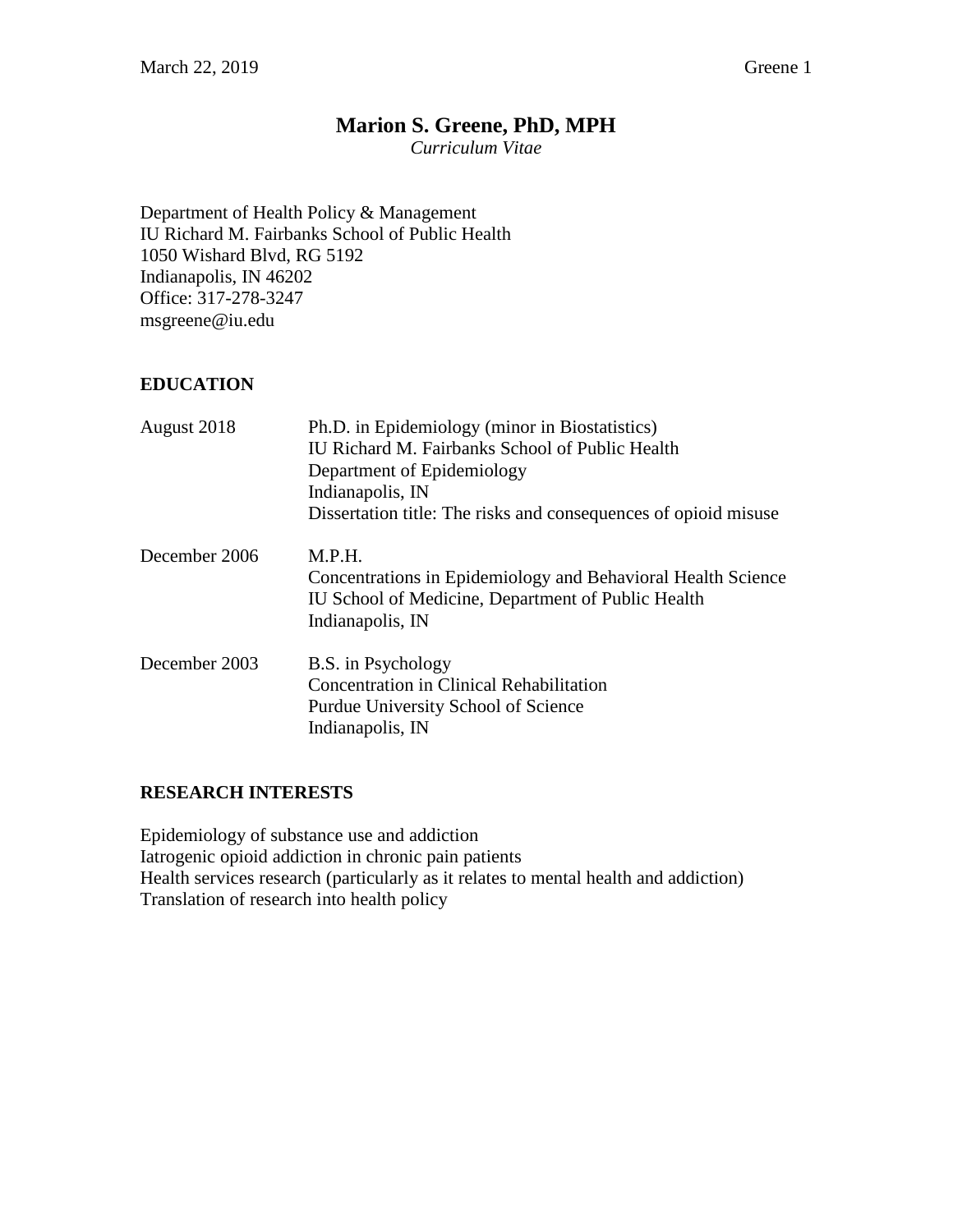# **Marion S. Greene, PhD, MPH**

*Curriculum Vitae*

Department of Health Policy & Management IU Richard M. Fairbanks School of Public Health 1050 Wishard Blvd, RG 5192 Indianapolis, IN 46202 Office: 317-278-3247 msgreene@iu.edu

## **EDUCATION**

| August 2018   | Ph.D. in Epidemiology (minor in Biostatistics)<br>IU Richard M. Fairbanks School of Public Health<br>Department of Epidemiology<br>Indianapolis, IN |
|---------------|-----------------------------------------------------------------------------------------------------------------------------------------------------|
|               | Dissertation title: The risks and consequences of opioid misuse                                                                                     |
| December 2006 | M.P.H.<br>Concentrations in Epidemiology and Behavioral Health Science<br>IU School of Medicine, Department of Public Health<br>Indianapolis, IN    |
| December 2003 | B.S. in Psychology<br><b>Concentration in Clinical Rehabilitation</b><br>Purdue University School of Science<br>Indianapolis, IN                    |

### **RESEARCH INTERESTS**

Epidemiology of substance use and addiction Iatrogenic opioid addiction in chronic pain patients Health services research (particularly as it relates to mental health and addiction) Translation of research into health policy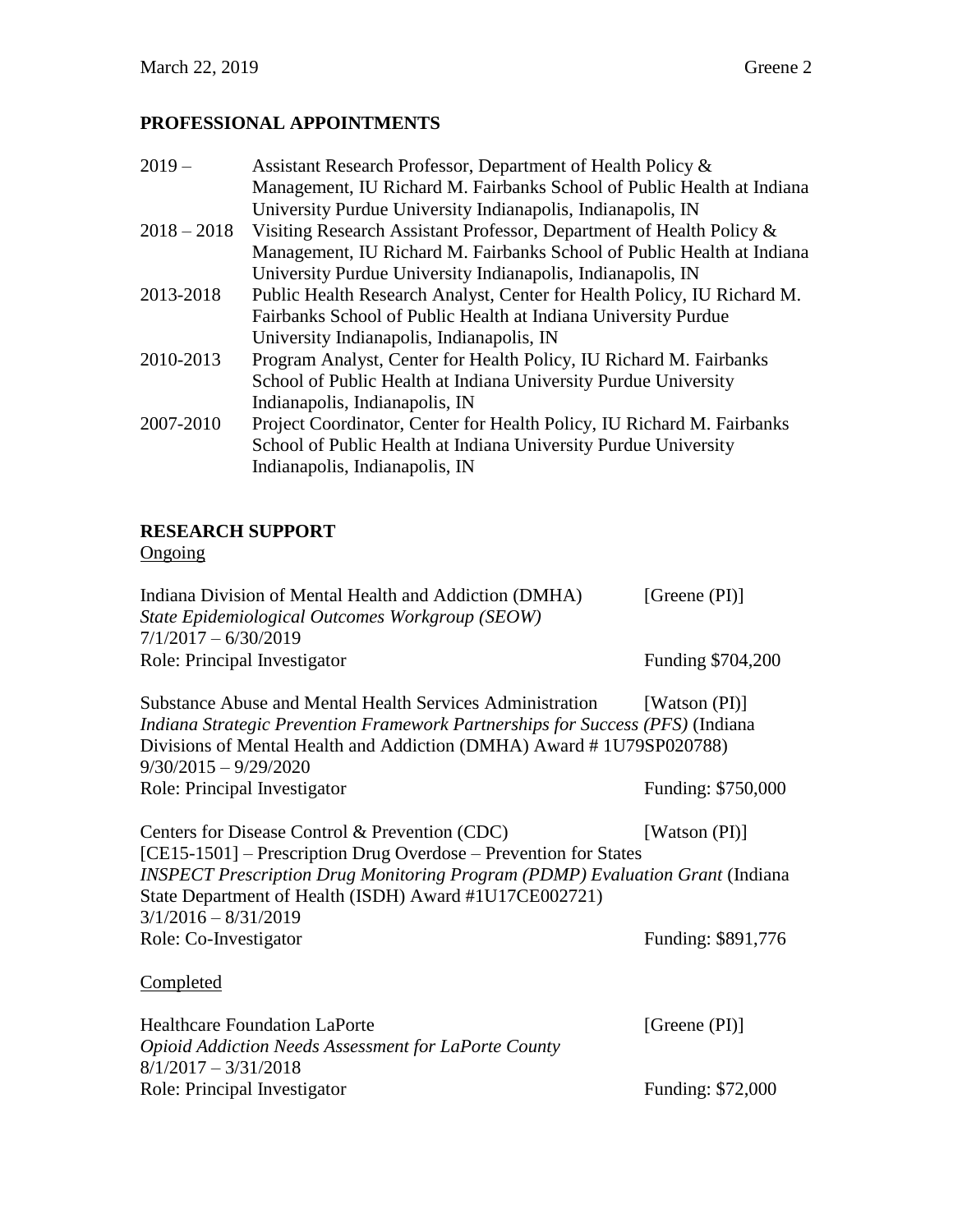## **PROFESSIONAL APPOINTMENTS**

| $2019-$       | Assistant Research Professor, Department of Health Policy &             |
|---------------|-------------------------------------------------------------------------|
|               | Management, IU Richard M. Fairbanks School of Public Health at Indiana  |
|               | University Purdue University Indianapolis, Indianapolis, IN             |
| $2018 - 2018$ | Visiting Research Assistant Professor, Department of Health Policy &    |
|               | Management, IU Richard M. Fairbanks School of Public Health at Indiana  |
|               | University Purdue University Indianapolis, Indianapolis, IN             |
| 2013-2018     | Public Health Research Analyst, Center for Health Policy, IU Richard M. |
|               | Fairbanks School of Public Health at Indiana University Purdue          |
|               | University Indianapolis, Indianapolis, IN                               |
| 2010-2013     | Program Analyst, Center for Health Policy, IU Richard M. Fairbanks      |
|               | School of Public Health at Indiana University Purdue University         |
|               | Indianapolis, Indianapolis, IN                                          |
| 2007-2010     | Project Coordinator, Center for Health Policy, IU Richard M. Fairbanks  |
|               | School of Public Health at Indiana University Purdue University         |
|               | Indianapolis, Indianapolis, IN                                          |
|               |                                                                         |

## **RESEARCH SUPPORT**

**Ongoing** 

| Indiana Division of Mental Health and Addiction (DMHA) | [Greene $(PI)$ ]  |
|--------------------------------------------------------|-------------------|
| State Epidemiological Outcomes Workgroup (SEOW)        |                   |
| $7/1/2017 - 6/30/2019$                                 |                   |
| Role: Principal Investigator                           | Funding \$704,200 |
|                                                        |                   |

Substance Abuse and Mental Health Services Administration [Watson (PI)] *Indiana Strategic Prevention Framework Partnerships for Success (PFS)* (Indiana Divisions of Mental Health and Addiction (DMHA) Award # 1U79SP020788) 9/30/2015 – 9/29/2020 Role: Principal Investigator Funding: \$750,000

Centers for Disease Control & Prevention (CDC) [Watson (PI)] [CE15-1501] – Prescription Drug Overdose – Prevention for States *INSPECT Prescription Drug Monitoring Program (PDMP) Evaluation Grant* (Indiana State Department of Health (ISDH) Award #1U17CE002721) 3/1/2016 – 8/31/2019 Role: Co-Investigator Funding: \$891,776

**Completed** 

| <b>Healthcare Foundation LaPorte</b>                        | [Greene $(PI)$ ]  |
|-------------------------------------------------------------|-------------------|
| <b>Opioid Addiction Needs Assessment for LaPorte County</b> |                   |
| $8/1/2017 - 3/31/2018$                                      |                   |
| Role: Principal Investigator                                | Funding: \$72,000 |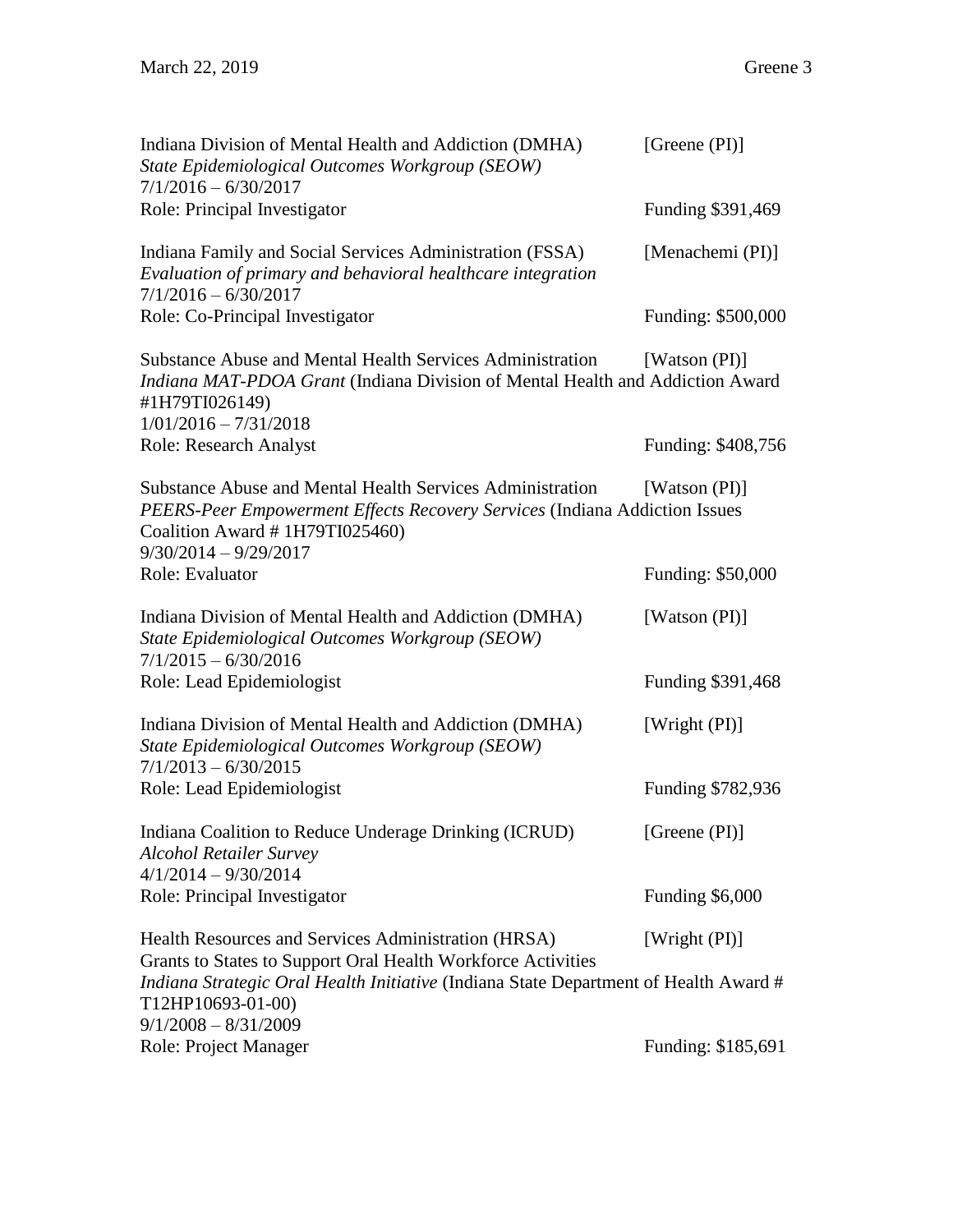| Indiana Division of Mental Health and Addiction (DMHA)<br>State Epidemiological Outcomes Workgroup (SEOW)                                                                                             | [Greene $(PI)$ ]   |
|-------------------------------------------------------------------------------------------------------------------------------------------------------------------------------------------------------|--------------------|
| $7/1/2016 - 6/30/2017$<br>Role: Principal Investigator                                                                                                                                                | Funding \$391,469  |
| Indiana Family and Social Services Administration (FSSA)<br>Evaluation of primary and behavioral healthcare integration<br>$7/1/2016 - 6/30/2017$                                                     | [Menachemi (PI)]   |
| Role: Co-Principal Investigator                                                                                                                                                                       | Funding: \$500,000 |
| Substance Abuse and Mental Health Services Administration<br>Indiana MAT-PDOA Grant (Indiana Division of Mental Health and Addiction Award<br>#1H79TI026149)                                          | [Watson (PI)]      |
| $1/01/2016 - 7/31/2018$<br><b>Role: Research Analyst</b>                                                                                                                                              | Funding: \$408,756 |
| Substance Abuse and Mental Health Services Administration<br>PEERS-Peer Empowerment Effects Recovery Services (Indiana Addiction Issues<br>Coalition Award # 1H79TI025460)<br>$9/30/2014 - 9/29/2017$ | [Watson (PI)]      |
| Role: Evaluator                                                                                                                                                                                       | Funding: \$50,000  |
| Indiana Division of Mental Health and Addiction (DMHA)<br>State Epidemiological Outcomes Workgroup (SEOW)<br>$7/1/2015 - 6/30/2016$                                                                   | [Watson (PI)]      |
| Role: Lead Epidemiologist                                                                                                                                                                             | Funding \$391,468  |
| Indiana Division of Mental Health and Addiction (DMHA)<br>State Epidemiological Outcomes Workgroup (SEOW)<br>$7/1/2013 - 6/30/2015$                                                                   | [Wright (PI)]      |
| Role: Lead Epidemiologist                                                                                                                                                                             | Funding \$782,936  |
| Indiana Coalition to Reduce Underage Drinking (ICRUD)<br><b>Alcohol Retailer Survey</b><br>$4/1/2014 - 9/30/2014$                                                                                     | [Greene (PI)]      |
| Role: Principal Investigator                                                                                                                                                                          | Funding \$6,000    |
| Health Resources and Services Administration (HRSA)<br>Grants to States to Support Oral Health Workforce Activities                                                                                   | [Wright (PI)]      |
| Indiana Strategic Oral Health Initiative (Indiana State Department of Health Award #<br>T12HP10693-01-00)                                                                                             |                    |
| $9/1/2008 - 8/31/2009$<br>Role: Project Manager                                                                                                                                                       | Funding: \$185,691 |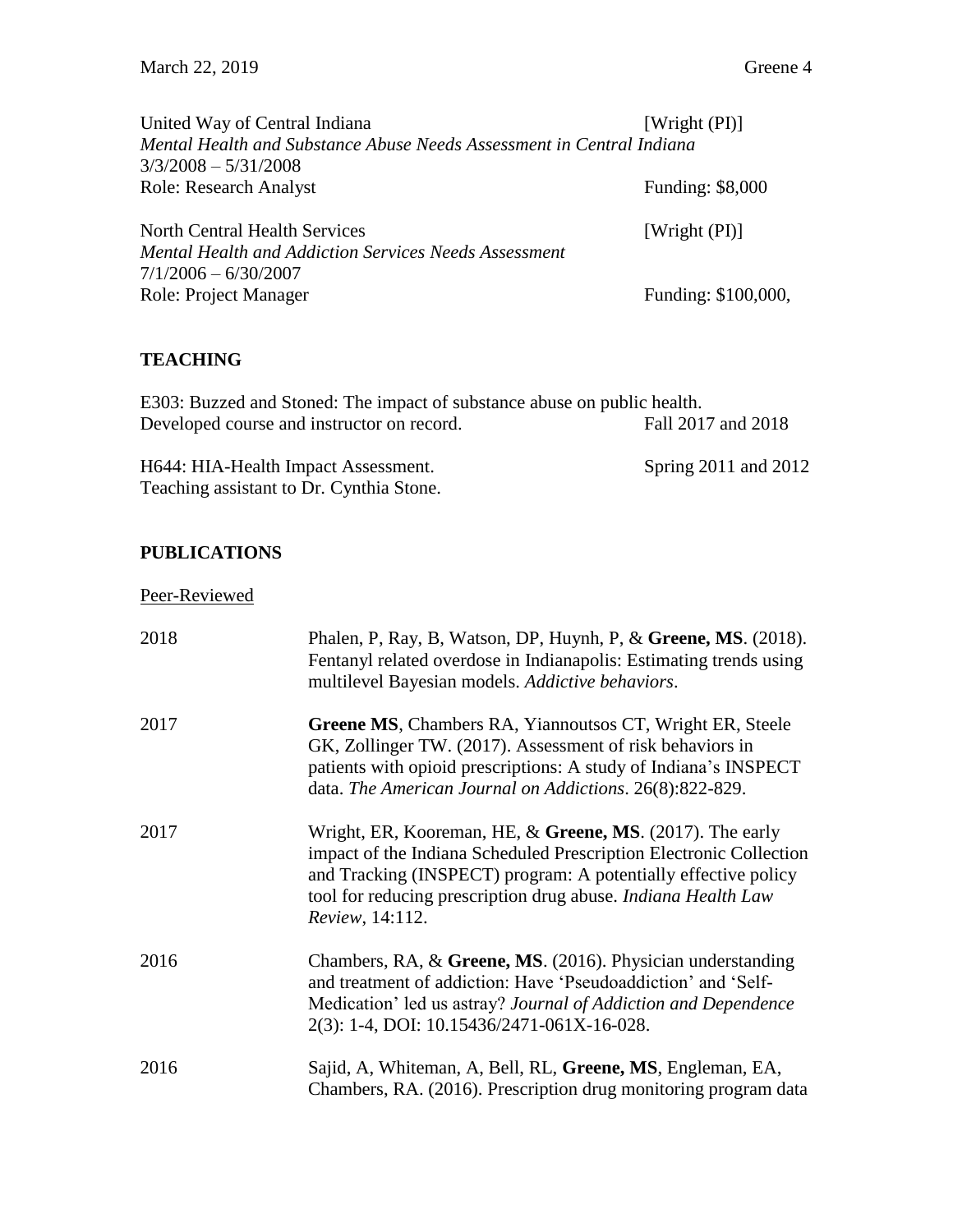| United Way of Central Indiana                                         | [Wright $(PI)$ ]    |
|-----------------------------------------------------------------------|---------------------|
| Mental Health and Substance Abuse Needs Assessment in Central Indiana |                     |
| $3/3/2008 - 5/31/2008$                                                |                     |
| Role: Research Analyst                                                | Funding: \$8,000    |
|                                                                       |                     |
| North Central Health Services                                         | [Wright $(PI)$ ]    |
| Mental Health and Addiction Services Needs Assessment                 |                     |
| 7/1/2006 - 6/30/2007                                                  |                     |
| <b>Role: Project Manager</b>                                          | Funding: \$100,000, |
|                                                                       |                     |

## **TEACHING**

E303: Buzzed and Stoned: The impact of substance abuse on public health. Developed course and instructor on record. Fall 2017 and 2018

H644: HIA-Health Impact Assessment. Spring 2011 and 2012 Teaching assistant to Dr. Cynthia Stone.

### **PUBLICATIONS**

Peer-Reviewed

| 2018 | Phalen, P, Ray, B, Watson, DP, Huynh, P, & Greene, MS. (2018).<br>Fentanyl related overdose in Indianapolis: Estimating trends using<br>multilevel Bayesian models. Addictive behaviors.                                                                                                |
|------|-----------------------------------------------------------------------------------------------------------------------------------------------------------------------------------------------------------------------------------------------------------------------------------------|
| 2017 | Greene MS, Chambers RA, Yiannoutsos CT, Wright ER, Steele<br>GK, Zollinger TW. (2017). Assessment of risk behaviors in<br>patients with opioid prescriptions: A study of Indiana's INSPECT<br>data. The American Journal on Addictions. 26(8):822-829.                                  |
| 2017 | Wright, ER, Kooreman, HE, $&$ Greene, MS. (2017). The early<br>impact of the Indiana Scheduled Prescription Electronic Collection<br>and Tracking (INSPECT) program: A potentially effective policy<br>tool for reducing prescription drug abuse. Indiana Health Law<br>Review, 14:112. |
| 2016 | Chambers, RA, & Greene, MS. (2016). Physician understanding<br>and treatment of addiction: Have 'Pseudoaddiction' and 'Self-<br>Medication' led us astray? Journal of Addiction and Dependence<br>2(3): 1-4, DOI: 10.15436/2471-061X-16-028.                                            |
| 2016 | Sajid, A, Whiteman, A, Bell, RL, Greene, MS, Engleman, EA,<br>Chambers, RA. (2016). Prescription drug monitoring program data                                                                                                                                                           |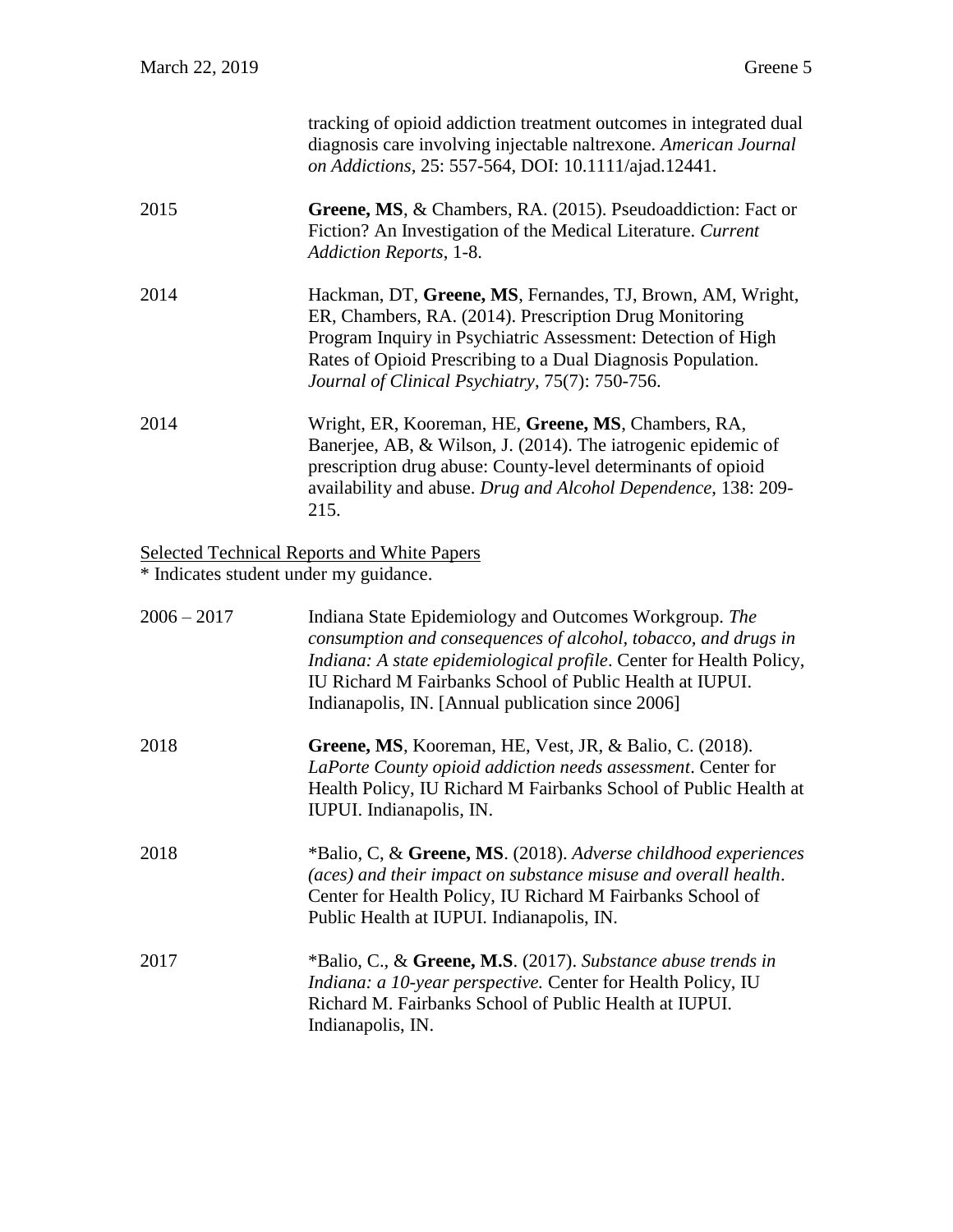|                                        | tracking of opioid addiction treatment outcomes in integrated dual<br>diagnosis care involving injectable naltrexone. American Journal<br>on Addictions, 25: 557-564, DOI: 10.1111/ajad.12441.                                                                                                                   |
|----------------------------------------|------------------------------------------------------------------------------------------------------------------------------------------------------------------------------------------------------------------------------------------------------------------------------------------------------------------|
| 2015                                   | Greene, MS, & Chambers, RA. (2015). Pseudoaddiction: Fact or<br>Fiction? An Investigation of the Medical Literature. Current<br>Addiction Reports, 1-8.                                                                                                                                                          |
| 2014                                   | Hackman, DT, Greene, MS, Fernandes, TJ, Brown, AM, Wright,<br>ER, Chambers, RA. (2014). Prescription Drug Monitoring<br>Program Inquiry in Psychiatric Assessment: Detection of High<br>Rates of Opioid Prescribing to a Dual Diagnosis Population.<br>Journal of Clinical Psychiatry, 75(7): 750-756.           |
| 2014                                   | Wright, ER, Kooreman, HE, Greene, MS, Chambers, RA,<br>Banerjee, AB, & Wilson, J. (2014). The iatrogenic epidemic of<br>prescription drug abuse: County-level determinants of opioid<br>availability and abuse. Drug and Alcohol Dependence, 138: 209-<br>215.                                                   |
| * Indicates student under my guidance. | <b>Selected Technical Reports and White Papers</b>                                                                                                                                                                                                                                                               |
| $2006 - 2017$                          | Indiana State Epidemiology and Outcomes Workgroup. The<br>consumption and consequences of alcohol, tobacco, and drugs in<br>Indiana: A state epidemiological profile. Center for Health Policy,<br>IU Richard M Fairbanks School of Public Health at IUPUI.<br>Indianapolis, IN. [Annual publication since 2006] |
| 2018                                   | Greene, MS, Kooreman, HE, Vest, JR, & Balio, C. (2018).<br>LaPorte County opioid addiction needs assessment. Center for<br>Health Policy, IU Richard M Fairbanks School of Public Health at<br>IUPUI. Indianapolis, IN.                                                                                          |
| 2018                                   | *Balio, C, & Greene, MS. (2018). Adverse childhood experiences<br>(aces) and their impact on substance misuse and overall health.<br>Center for Health Policy, IU Richard M Fairbanks School of<br>Public Health at IUPUI. Indianapolis, IN.                                                                     |
| 2017                                   | *Balio, C., & Greene, M.S. (2017). Substance abuse trends in<br>Indiana: a 10-year perspective. Center for Health Policy, IU<br>Richard M. Fairbanks School of Public Health at IUPUI.<br>Indianapolis, IN.                                                                                                      |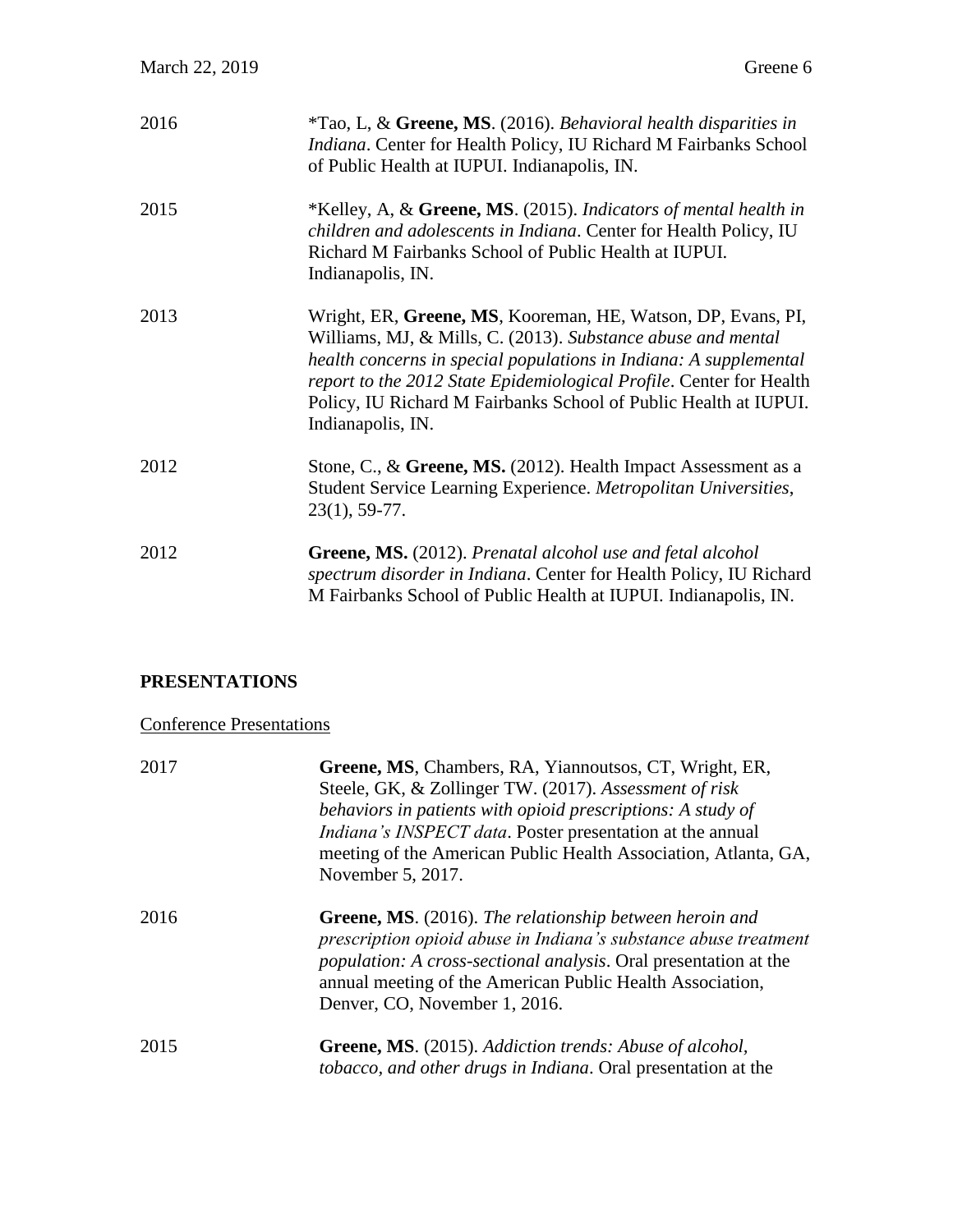| 2016 | *Tao, L, & Greene, MS. (2016). Behavioral health disparities in<br>Indiana. Center for Health Policy, IU Richard M Fairbanks School<br>of Public Health at IUPUI. Indianapolis, IN.                                                                                                                                                                               |
|------|-------------------------------------------------------------------------------------------------------------------------------------------------------------------------------------------------------------------------------------------------------------------------------------------------------------------------------------------------------------------|
| 2015 | *Kelley, A, & Greene, MS. (2015). Indicators of mental health in<br>children and adolescents in Indiana. Center for Health Policy, IU<br>Richard M Fairbanks School of Public Health at IUPUI.<br>Indianapolis, IN.                                                                                                                                               |
| 2013 | Wright, ER, Greene, MS, Kooreman, HE, Watson, DP, Evans, PI,<br>Williams, MJ, & Mills, C. (2013). Substance abuse and mental<br>health concerns in special populations in Indiana: A supplemental<br>report to the 2012 State Epidemiological Profile. Center for Health<br>Policy, IU Richard M Fairbanks School of Public Health at IUPUI.<br>Indianapolis, IN. |
| 2012 | Stone, C., & Greene, MS. (2012). Health Impact Assessment as a<br>Student Service Learning Experience. Metropolitan Universities,<br>$23(1), 59-77.$                                                                                                                                                                                                              |
| 2012 | Greene, MS. (2012). Prenatal alcohol use and fetal alcohol<br>spectrum disorder in Indiana. Center for Health Policy, IU Richard<br>M Fairbanks School of Public Health at IUPUI. Indianapolis, IN.                                                                                                                                                               |

# **PRESENTATIONS**

# Conference Presentations

| 2017 | Greene, MS, Chambers, RA, Yiannoutsos, CT, Wright, ER,<br>Steele, GK, & Zollinger TW. (2017). Assessment of risk<br>behaviors in patients with opioid prescriptions: A study of<br>Indiana's INSPECT data. Poster presentation at the annual<br>meeting of the American Public Health Association, Atlanta, GA,<br>November 5, 2017. |
|------|--------------------------------------------------------------------------------------------------------------------------------------------------------------------------------------------------------------------------------------------------------------------------------------------------------------------------------------|
| 2016 | Greene, MS. (2016). The relationship between heroin and<br>prescription opioid abuse in Indiana's substance abuse treatment<br><i>population: A cross-sectional analysis.</i> Oral presentation at the<br>annual meeting of the American Public Health Association,<br>Denver, CO, November 1, 2016.                                 |
| 2015 | <b>Greene, MS.</b> (2015). Addiction trends: Abuse of alcohol,<br>tobacco, and other drugs in Indiana. Oral presentation at the                                                                                                                                                                                                      |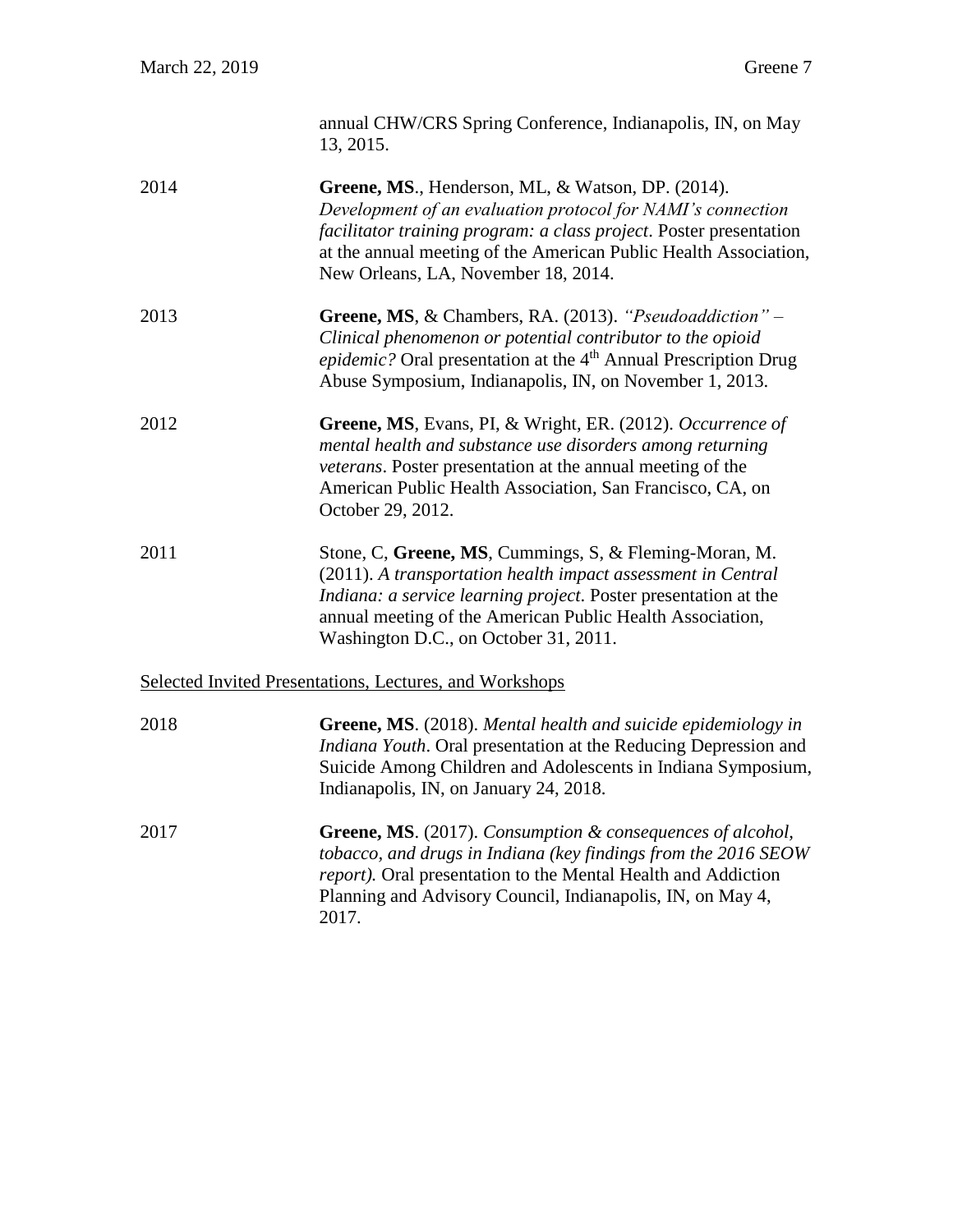|      | annual CHW/CRS Spring Conference, Indianapolis, IN, on May<br>13, 2015.                                                                                                                                                                                                                                                         |
|------|---------------------------------------------------------------------------------------------------------------------------------------------------------------------------------------------------------------------------------------------------------------------------------------------------------------------------------|
| 2014 | Greene, MS., Henderson, ML, & Watson, DP. (2014).<br>Development of an evaluation protocol for NAMI's connection<br>facilitator training program: a class project. Poster presentation<br>at the annual meeting of the American Public Health Association,<br>New Orleans, LA, November 18, 2014.                               |
| 2013 | Greene, MS, & Chambers, RA. (2013). "Pseudoaddiction" -<br>$Cl_{2}^{1}$ , $l_{1}^{1}$ , $l_{2}^{1}$ , $l_{3}^{1}$ , $l_{4}^{1}$ , $l_{5}^{1}$ , $l_{6}^{1}$ , $l_{7}^{1}$ , $l_{8}^{1}$ , $l_{1}^{1}$ , $l_{1}^{1}$ , $l_{1}^{1}$ , $l_{1}^{1}$ , $l_{1}^{1}$ , $l_{1}^{1}$ , $l_{1}^{1}$ , $l_{1}^{1}$ , $l_{1}^{1}$ , $l_{1}$ |

- *Clinical phenomenon or potential contributor to the opioid epidemic?* Oral presentation at the 4<sup>th</sup> Annual Prescription Drug Abuse Symposium, Indianapolis, IN, on November 1, 2013.
- 2012 **Greene, MS**, Evans, PI, & Wright, ER. (2012). *Occurrence of mental health and substance use disorders among returning veterans*. Poster presentation at the annual meeting of the American Public Health Association, San Francisco, CA, on October 29, 2012.
- 2011 Stone, C, **Greene, MS**, Cummings, S, & Fleming-Moran, M. (2011). *A transportation health impact assessment in Central Indiana: a service learning project*. Poster presentation at the annual meeting of the American Public Health Association, Washington D.C., on October 31, 2011.

### Selected Invited Presentations, Lectures, and Workshops

| 2018 | <b>Greene, MS.</b> (2018). Mental health and suicide epidemiology in<br>Indiana Youth. Oral presentation at the Reducing Depression and<br>Suicide Among Children and Adolescents in Indiana Symposium,<br>Indianapolis, IN, on January 24, 2018.                                   |
|------|-------------------------------------------------------------------------------------------------------------------------------------------------------------------------------------------------------------------------------------------------------------------------------------|
| 2017 | <b>Greene, MS.</b> (2017). Consumption & consequences of alcohol,<br>tobacco, and drugs in Indiana (key findings from the 2016 SEOW<br><i>report</i> ). Oral presentation to the Mental Health and Addiction<br>Planning and Advisory Council, Indianapolis, IN, on May 4,<br>2017. |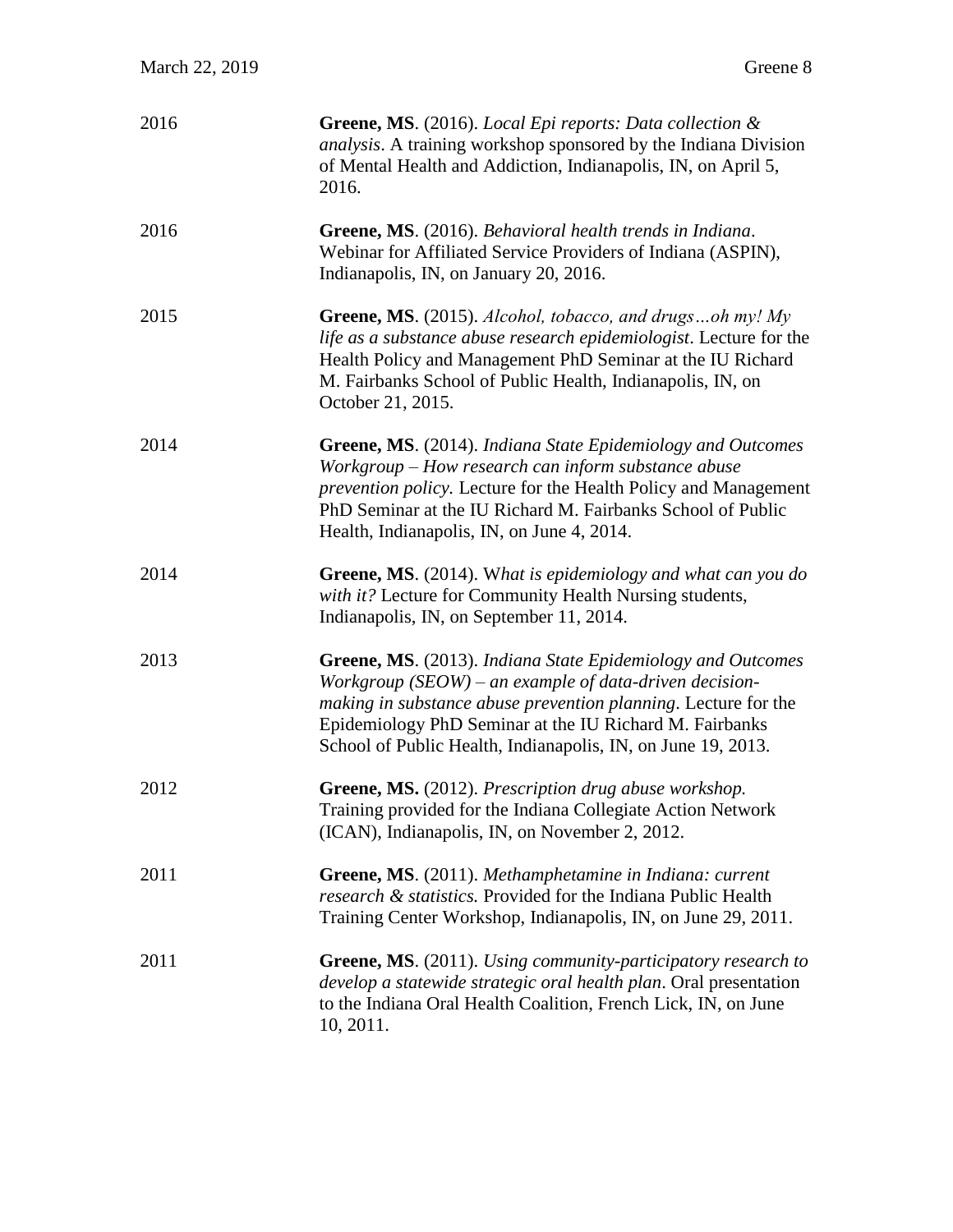| 2016 | Greene, MS. (2016). Local Epi reports: Data collection &<br>analysis. A training workshop sponsored by the Indiana Division<br>of Mental Health and Addiction, Indianapolis, IN, on April 5,<br>2016.                                                                                                                |
|------|----------------------------------------------------------------------------------------------------------------------------------------------------------------------------------------------------------------------------------------------------------------------------------------------------------------------|
| 2016 | Greene, MS. (2016). Behavioral health trends in Indiana.<br>Webinar for Affiliated Service Providers of Indiana (ASPIN),<br>Indianapolis, IN, on January 20, 2016.                                                                                                                                                   |
| 2015 | Greene, MS. (2015). Alcohol, tobacco, and drugsoh my! My<br>life as a substance abuse research epidemiologist. Lecture for the<br>Health Policy and Management PhD Seminar at the IU Richard<br>M. Fairbanks School of Public Health, Indianapolis, IN, on<br>October 21, 2015.                                      |
| 2014 | Greene, MS. (2014). Indiana State Epidemiology and Outcomes<br>Workgroup – How research can inform substance abuse<br><i>prevention policy.</i> Lecture for the Health Policy and Management<br>PhD Seminar at the IU Richard M. Fairbanks School of Public<br>Health, Indianapolis, IN, on June 4, 2014.            |
| 2014 | Greene, MS. (2014). What is epidemiology and what can you do<br>with it? Lecture for Community Health Nursing students,<br>Indianapolis, IN, on September 11, 2014.                                                                                                                                                  |
| 2013 | Greene, MS. (2013). Indiana State Epidemiology and Outcomes<br>Workgroup $(SEOW)$ – an example of data-driven decision-<br>making in substance abuse prevention planning. Lecture for the<br>Epidemiology PhD Seminar at the IU Richard M. Fairbanks<br>School of Public Health, Indianapolis, IN, on June 19, 2013. |
| 2012 | Greene, MS. (2012). Prescription drug abuse workshop.<br>Training provided for the Indiana Collegiate Action Network<br>(ICAN), Indianapolis, IN, on November 2, 2012.                                                                                                                                               |
| 2011 | Greene, MS. (2011). Methamphetamine in Indiana: current<br>research & statistics. Provided for the Indiana Public Health<br>Training Center Workshop, Indianapolis, IN, on June 29, 2011.                                                                                                                            |
| 2011 | <b>Greene, MS.</b> (2011). Using community-participatory research to<br>develop a statewide strategic oral health plan. Oral presentation<br>to the Indiana Oral Health Coalition, French Lick, IN, on June<br>10, 2011.                                                                                             |